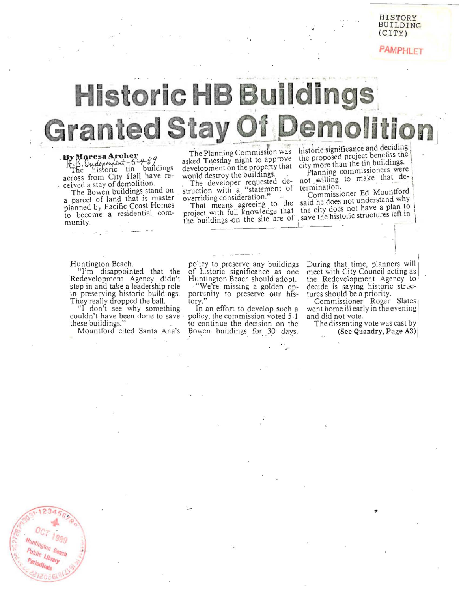### **HISTORY** BUILDING  $(CITY)$

PAMPHLET

# **Historic HB Buildings Granted Stay Of Demoliti**

By Maresa Archer<br>
5. B. *Undependent* - 6. 489<br>
The historic tin buildings across from City Hall have received a stay of demolition.

The Bowen buildings stand on a parcel of land that is master planned by Pacific Coast Homes to become a residential community.

The Planning Commission was asked Tuesday night to approve development on the property that would destroy the buildings.

The developer requested destruction with a "statement of overriding consideration."

That means agreeing to the project with full knowledge that the buildings on the site are of

historic significance and deciding the proposed project benefits the city more than the tin buildings.

Planning commissioners were not willing to make that determination.

Commissioner Ed Mountford said he does not understand why the city does not have a plan to , save the historic structures left in

#### Huntington Beach.

"I'm disappointed that the Redevelopment Agency didn't step in and take a leadership role in preserving historic buildings. They really dropped the ball.

"I don't see why something couldn't have been done to save these buildings."

Mountford cited Santa Ana's

policy to preserve any buildings of historic significance as one Huntington Beach should adopt. "We're missing a golden op-

portunity to preserve our history."

In an effort to develop such a policy, the commission voted 5-1 to continue the decision on the Bowen buildings for 30 days.

During that time, planners will meet with City Council acting as the Redevelopment Agency to decide is saying historic structures should be a priority.

Commissioner Roger Slates went home ill early in the evening and did not vote.

The dissenting vote was cast by (See Quandry, Page A3)